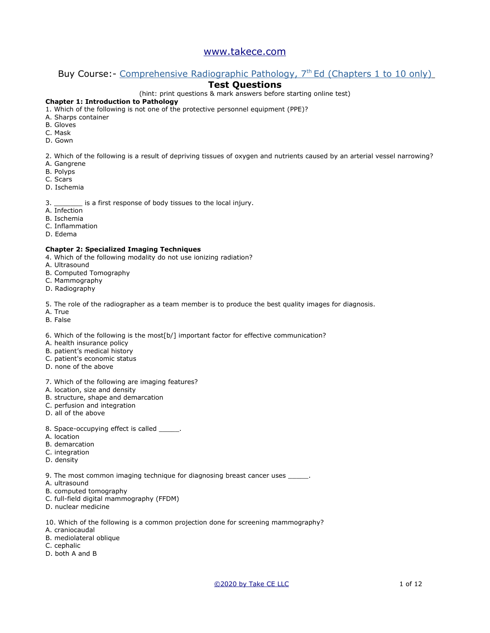# Buy Course: - [Comprehensive Radiographic Pathology, 7](https://www.takece.com/product-page/radiographic-pathology)<sup>th</sup> Ed (Chapters 1 to 10 only)

# **Test Questions**

(hint: print questions & mark answers before starting online test)

### **Chapter 1: Introduction to Pathology**

- 1. Which of the following is not one of the protective personnel equipment (PPE)?
- A. Sharps container
- B. Gloves
- C. Mask
- D. Gown
- 2. Which of the following is a result of depriving tissues of oxygen and nutrients caused by an arterial vessel narrowing?
- A. Gangrene
- B. Polyps
- C. Scars
- D. Ischemia

#### 3. \_\_\_\_\_\_\_ is a first response of body tissues to the local injury.

- A. Infection
- B. Ischemia
- C. Inflammation
- D. Edema

#### **Chapter 2: Specialized Imaging Techniques**

- 4. Which of the following modality do not use ionizing radiation?
- A. Ultrasound
- B. Computed Tomography
- C. Mammography
- D. Radiography

5. The role of the radiographer as a team member is to produce the best quality images for diagnosis.

- A. True
- B. False

6. Which of the following is the most[b/] important factor for effective communication?

- A. health insurance policy
- B. patient's medical history
- C. patient's economic status
- D. none of the above
- 7. Which of the following are imaging features?
- A. location, size and density
- B. structure, shape and demarcation
- C. perfusion and integration
- D. all of the above
- 8. Space-occupying effect is called
- A. location
- B. demarcation
- C. integration
- D. density

9. The most common imaging technique for diagnosing breast cancer uses \_\_\_\_\_.

- A. ultrasound
- B. computed tomography
- C. full-field digital mammography (FFDM)
- D. nuclear medicine

10. Which of the following is a common projection done for screening mammography?

- A. craniocaudal
- B. mediolateral oblique
- C. cephalic
- D. both A and B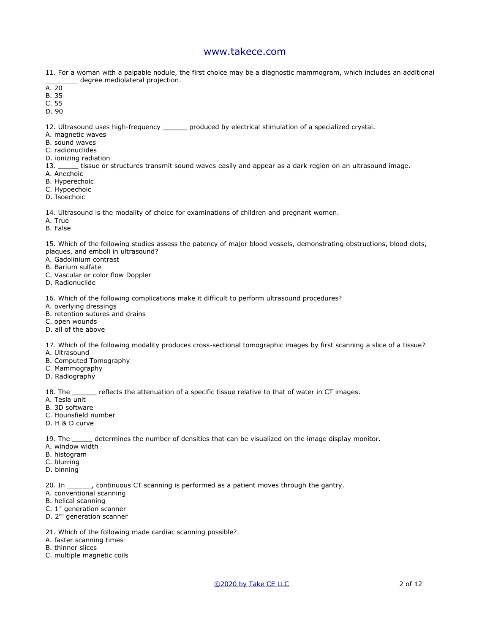11. For a woman with a palpable nodule, the first choice may be a diagnostic mammogram, which includes an additional degree mediolateral projection.

- $A. 20$
- B. 35
- C. 55
- D. 90

12. Ultrasound uses high-frequency \_\_\_\_\_\_ produced by electrical stimulation of a specialized crystal.

- A. magnetic waves
- B. sound waves
- C. radionuclides
- D. ionizing radiation
- 13. \_\_\_\_\_ tissue or structures transmit sound waves easily and appear as a dark region on an ultrasound image.
- A. Anechoic
- B. Hyperechoic
- C. Hypoechoic
- D. Isoechoic

14. Ultrasound is the modality of choice for examinations of children and pregnant women.

- A. True
- B. False

15. Which of the following studies assess the patency of major blood vessels, demonstrating obstructions, blood clots, plaques, and emboli in ultrasound?

- A. Gadolinium contrast
- B. Barium sulfate
- C. Vascular or color flow Doppler
- D. Radionuclide

16. Which of the following complications make it difficult to perform ultrasound procedures?

- A. overlying dressings
- B. retention sutures and drains
- C. open wounds
- D. all of the above

17. Which of the following modality produces cross-sectional tomographic images by first scanning a slice of a tissue?

- A. Ultrasound
- B. Computed Tomography
- C. Mammography
- D. Radiography

18. The \_\_\_\_\_\_\_ reflects the attenuation of a specific tissue relative to that of water in CT images.

- A. Tesla unit
- B. 3D software
- C. Hounsfield number
- D. H & D curve

19. The \_\_\_\_\_\_ determines the number of densities that can be visualized on the image display monitor.

- A. window width
- B. histogram
- C. blurring
- D. binning

20. In \_\_\_\_\_\_, continuous CT scanning is performed as a patient moves through the qantry.

- A. conventional scanning
- B. helical scanning
- C.  $1<sup>st</sup>$  generation scanner
- D. 2<sup>nd</sup> generation scanner
- 21. Which of the following made cardiac scanning possible?
- A. faster scanning times
- B. thinner slices
- C. multiple magnetic coils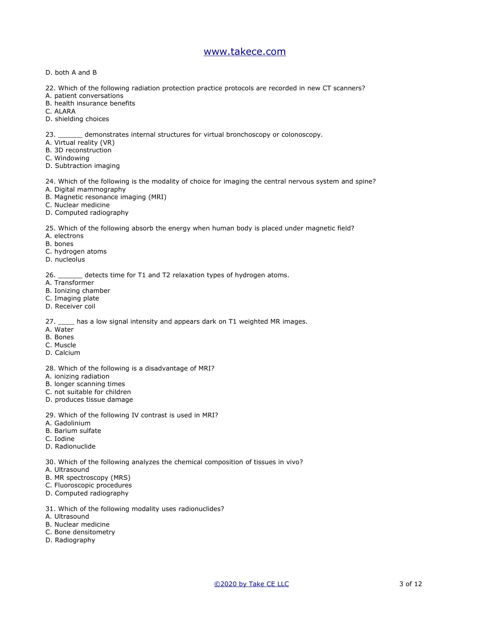- D. both A and B
- 22. Which of the following radiation protection practice protocols are recorded in new CT scanners?
- A. patient conversations
- B. health insurance benefits
- C. ALARA
- D. shielding choices

23. \_\_\_\_\_\_ demonstrates internal structures for virtual bronchoscopy or colonoscopy.

- A. Virtual reality (VR)
- B. 3D reconstruction
- C. Windowing
- D. Subtraction imaging

24. Which of the following is the modality of choice for imaging the central nervous system and spine?

- A. Digital mammography
- B. Magnetic resonance imaging (MRI)
- C. Nuclear medicine
- D. Computed radiography

25. Which of the following absorb the energy when human body is placed under magnetic field?

- A. electrons
- B. bones
- C. hydrogen atoms
- D. nucleolus

26. \_\_\_\_\_\_ detects time for T1 and T2 relaxation types of hydrogen atoms.

- A. Transformer
- B. Ionizing chamber
- C. Imaging plate
- D. Receiver coil

27. \_\_\_\_ has a low signal intensity and appears dark on T1 weighted MR images.

- A. Water
- B. Bones
- C. Muscle
- D. Calcium
- 28. Which of the following is a disadvantage of MRI?
- A. ionizing radiation
- B. longer scanning times
- C. not suitable for children
- D. produces tissue damage
- 29. Which of the following IV contrast is used in MRI?
- A. Gadolinium
- B. Barium sulfate
- C. Iodine
- D. Radionuclide

30. Which of the following analyzes the chemical composition of tissues in vivo?

- A. Ultrasound
- B. MR spectroscopy (MRS)
- C. Fluoroscopic procedures
- D. Computed radiography
- 31. Which of the following modality uses radionuclides?
- A. Ultrasound
- B. Nuclear medicine
- C. Bone densitometry
- D. Radiography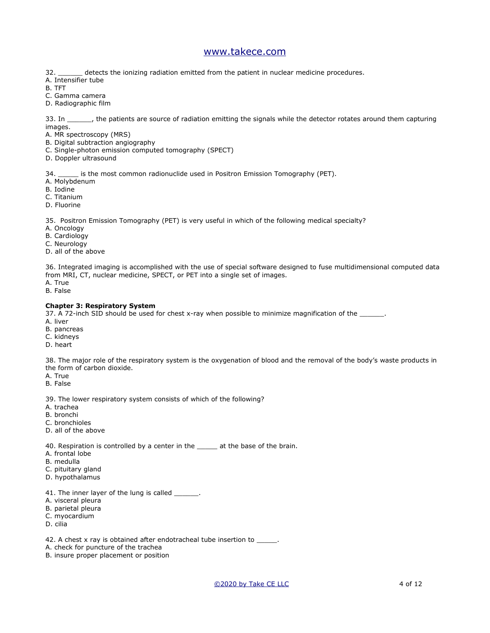32. \_\_\_\_\_\_ detects the ionizing radiation emitted from the patient in nuclear medicine procedures.

- A. Intensifier tube
- B. TFT
- C. Gamma camera
- D. Radiographic film

33. In \_\_\_\_\_\_, the patients are source of radiation emitting the signals while the detector rotates around them capturing images.

A. MR spectroscopy (MRS)

- B. Digital subtraction angiography
- C. Single-photon emission computed tomography (SPECT)
- D. Doppler ultrasound

34. \_\_\_\_\_ is the most common radionuclide used in Positron Emission Tomography (PET).

- A. Molybdenum
- B. Iodine
- C. Titanium
- D. Fluorine

35. Positron Emission Tomography (PET) is very useful in which of the following medical specialty?

- A. Oncology
- B. Cardiology
- C. Neurology
- D. all of the above

36. Integrated imaging is accomplished with the use of special software designed to fuse multidimensional computed data from MRI, CT, nuclear medicine, SPECT, or PET into a single set of images.

- A. True
- B. False

### **Chapter 3: Respiratory System**

37. A 72-inch SID should be used for chest x-ray when possible to minimize magnification of the

- A. liver
- B. pancreas
- C. kidneys
- D. heart

38. The major role of the respiratory system is the oxygenation of blood and the removal of the body's waste products in the form of carbon dioxide.

- A. True
- B. False

39. The lower respiratory system consists of which of the following?

- A. trachea
- B. bronchi
- C. bronchioles
- D. all of the above

40. Respiration is controlled by a center in the \_\_\_\_\_ at the base of the brain.

- A. frontal lobe
- B. medulla
- C. pituitary gland
- D. hypothalamus
- 41. The inner layer of the lung is called \_\_\_\_\_\_.
- A. visceral pleura
- B. parietal pleura
- C. myocardium
- D. cilia

42. A chest x ray is obtained after endotracheal tube insertion to \_\_\_\_\_.

- A. check for puncture of the trachea
- B. insure proper placement or position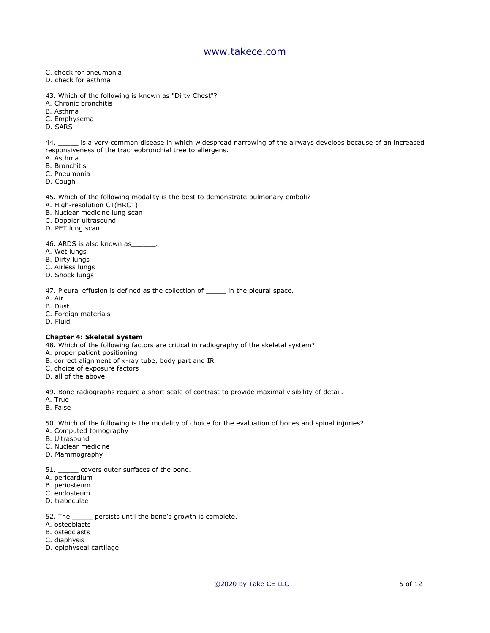- C. check for pneumonia
- D. check for asthma
- 43. Which of the following is known as "Dirty Chest"?
- A. Chronic bronchitis
- B. Asthma
- C. Emphysema
- D. SARS

44. \_\_\_\_\_ is a very common disease in which widespread narrowing of the airways develops because of an increased responsiveness of the tracheobronchial tree to allergens.

- A. Asthma
- B. Bronchitis
- C. Pneumonia
- D. Cough

#### 45. Which of the following modality is the best to demonstrate pulmonary emboli?

- A. High-resolution CT(HRCT)
- B. Nuclear medicine lung scan
- C. Doppler ultrasound
- D. PET lung scan

46. ARDS is also known as

- A. Wet lungs
- B. Dirty lungs
- C. Airless lungs
- D. Shock lungs

47. Pleural effusion is defined as the collection of \_\_\_\_\_ in the pleural space.

- A. Air
- B. Dust
- C. Foreign materials
- D. Fluid

### **Chapter 4: Skeletal System**

48. Which of the following factors are critical in radiography of the skeletal system?

- A. proper patient positioning
- B. correct alignment of x-ray tube, body part and IR
- C. choice of exposure factors
- D. all of the above

49. Bone radiographs require a short scale of contrast to provide maximal visibility of detail.

- A. True
- B. False

50. Which of the following is the modality of choice for the evaluation of bones and spinal injuries?

- A. Computed tomography
- B. Ultrasound
- C. Nuclear medicine
- D. Mammography
- 51. \_\_\_\_\_\_ covers outer surfaces of the bone.
- A. pericardium
- B. periosteum
- C. endosteum
- D. trabeculae
- 52. The \_\_\_\_\_ persists until the bone's growth is complete.
- A. osteoblasts
- B. osteoclasts
- C. diaphysis
- D. epiphyseal cartilage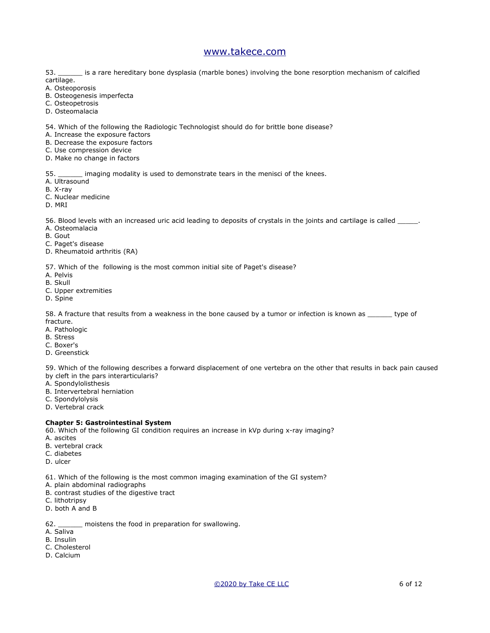53. \_\_\_\_\_\_ is a rare hereditary bone dysplasia (marble bones) involving the bone resorption mechanism of calcified cartilage.

A. Osteoporosis

- B. Osteogenesis imperfecta
- C. Osteopetrosis
- D. Osteomalacia

54. Which of the following the Radiologic Technologist should do for brittle bone disease?

A. Increase the exposure factors

- B. Decrease the exposure factors
- C. Use compression device
- D. Make no change in factors

55. \_\_\_\_\_\_ imaging modality is used to demonstrate tears in the menisci of the knees.

A. Ultrasound

- B. X-ray
- C. Nuclear medicine

D. MRI

56. Blood levels with an increased uric acid leading to deposits of crystals in the joints and cartilage is called \_\_\_\_\_.

- A. Osteomalacia
- B. Gout
- C. Paget's disease
- D. Rheumatoid arthritis (RA)

57. Which of the following is the most common initial site of Paget's disease?

- A. Pelvis
- B. Skull
- C. Upper extremities
- D. Spine

58. A fracture that results from a weakness in the bone caused by a tumor or infection is known as \_\_\_\_\_\_ type of fracture.

- A. Pathologic
- B. Stress
- C. Boxer's
- D. Greenstick

59. Which of the following describes a forward displacement of one vertebra on the other that results in back pain caused by cleft in the pars interarticularis?

- A. Spondylolisthesis
- B. Intervertebral herniation
- C. Spondylolysis
- D. Vertebral crack

#### **Chapter 5: Gastrointestinal System**

60. Which of the following GI condition requires an increase in kVp during x-ray imaging?

- A. ascites
- B. vertebral crack
- C. diabetes
- D. ulcer
- 61. Which of the following is the most common imaging examination of the GI system?
- A. plain abdominal radiographs
- B. contrast studies of the digestive tract
- C. lithotripsy
- D. both A and B

62. \_\_\_\_\_\_ moistens the food in preparation for swallowing.

- A. Saliva
- B. Insulin
- C. Cholesterol
- D. Calcium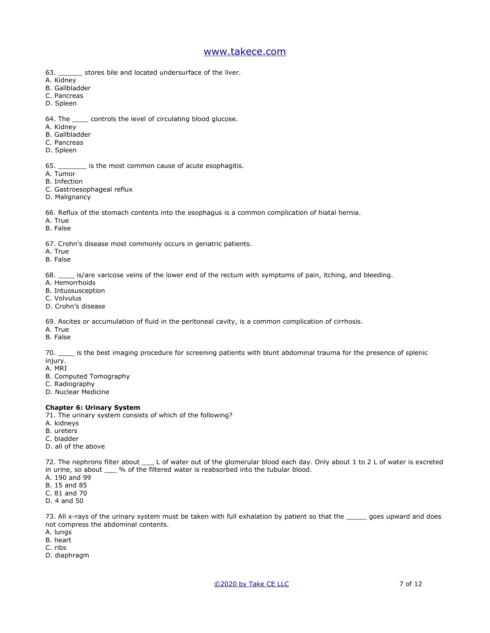- 63. \_\_\_\_\_\_ stores bile and located undersurface of the liver.
- A. Kidney
- B. Gallbladder
- C. Pancreas
- D. Spleen
- 64. The \_\_\_\_ controls the level of circulating blood glucose.
- A. Kidney
- B. Gallbladder
- C. Pancreas
- D. Spleen

65. \_\_\_\_\_\_\_ is the most common cause of acute esophagitis.

- A. Tumor
- B. Infection
- C. Gastroesophageal reflux
- D. Malignancy

66. Reflux of the stomach contents into the esophagus is a common complication of hiatal hernia.

- A. True
- B. False

67. Crohn's disease most commonly occurs in geriatric patients.

- A. True
- B. False

68. \_\_\_\_ is/are varicose veins of the lower end of the rectum with symptoms of pain, itching, and bleeding.

- A. Hemorrhoids
- B. Intussusception
- C. Volvulus
- D. Crohn's disease

69. Ascites or accumulation of fluid in the peritoneal cavity, is a common complication of cirrhosis.

- A. True
- B. False

70. \_\_\_\_ is the best imaging procedure for screening patients with blunt abdominal trauma for the presence of splenic injury.

- A. MRI
- B. Computed Tomography
- C. Radiography
- D. Nuclear Medicine

### **Chapter 6: Urinary System**

71. The urinary system consists of which of the following?

- A. kidneys
- B. ureters
- C. bladder
- D. all of the above

72. The nephrons filter about \_\_\_ L of water out of the glomerular blood each day. Only about 1 to 2 L of water is excreted in urine, so about  $\_\_\_\$ % of the filtered water is reabsorbed into the tubular blood.

- A. 190 and 99
- B. 15 and 85
- C. 81 and 70
- D. 4 and 50

73. All x-rays of the urinary system must be taken with full exhalation by patient so that the same goes upward and does not compress the abdominal contents.

- A. lungs
- B. heart
- C. ribs
- D. diaphragm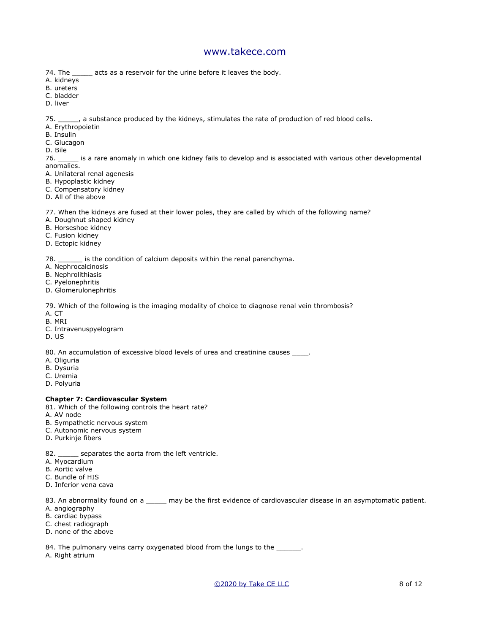- 74. The \_\_\_\_\_ acts as a reservoir for the urine before it leaves the body.
- A. kidneys
- B. ureters
- C. bladder
- D. liver

75. \_\_\_\_\_, a substance produced by the kidneys, stimulates the rate of production of red blood cells.

- A. Erythropoietin
- B. Insulin
- C. Glucagon
- D. Bile

76. \_\_\_\_\_ is a rare anomaly in which one kidney fails to develop and is associated with various other developmental anomalies.

- A. Unilateral renal agenesis
- B. Hypoplastic kidney
- C. Compensatory kidney
- D. All of the above

77. When the kidneys are fused at their lower poles, they are called by which of the following name?

- A. Doughnut shaped kidney
- B. Horseshoe kidney
- C. Fusion kidney
- D. Ectopic kidney

78. \_\_\_\_\_\_ is the condition of calcium deposits within the renal parenchyma.

- A. Nephrocalcinosis
- B. Nephrolithiasis
- C. Pyelonephritis
- D. Glomerulonephritis

79. Which of the following is the imaging modality of choice to diagnose renal vein thrombosis?

- A. CT
- B. MRI
- C. Intravenuspyelogram
- D. US

80. An accumulation of excessive blood levels of urea and creatinine causes  $\_\_$ 

- A. Oliguria
- B. Dysuria
- C. Uremia
- D. Polyuria

### **Chapter 7: Cardiovascular System**

- 81. Which of the following controls the heart rate?
- A. AV node
- B. Sympathetic nervous system
- C. Autonomic nervous system
- D. Purkinje fibers
- 82. \_\_\_\_\_ separates the aorta from the left ventricle.
- A. Myocardium
- B. Aortic valve
- C. Bundle of HIS
- D. Inferior vena cava

83. An abnormality found on a \_\_\_\_\_\_ may be the first evidence of cardiovascular disease in an asymptomatic patient.

- A. angiography
- B. cardiac bypass
- C. chest radiograph
- D. none of the above

84. The pulmonary veins carry oxygenated blood from the lungs to the \_\_\_\_

A. Right atrium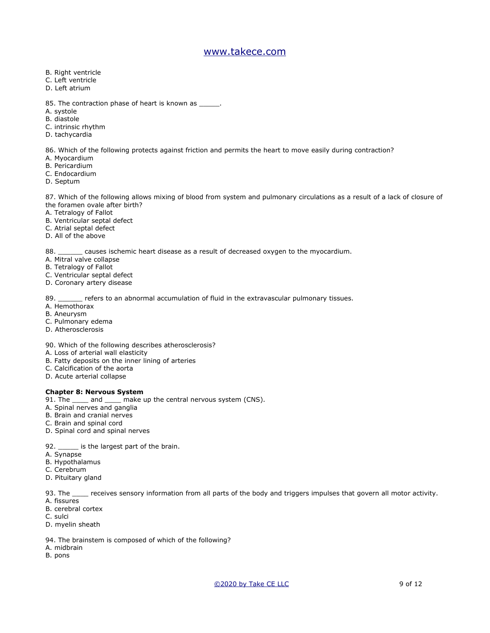- B. Right ventricle
- C. Left ventricle
- D. Left atrium
- 85. The contraction phase of heart is known as \_\_\_\_\_\_.
- A. systole
- B. diastole
- C. intrinsic rhythm
- D. tachycardia

86. Which of the following protects against friction and permits the heart to move easily during contraction?

- A. Myocardium
- B. Pericardium
- C. Endocardium
- D. Septum

87. Which of the following allows mixing of blood from system and pulmonary circulations as a result of a lack of closure of the foramen ovale after birth?

- A. Tetralogy of Fallot
- B. Ventricular septal defect
- C. Atrial septal defect
- D. All of the above

88. \_\_\_\_\_\_ causes ischemic heart disease as a result of decreased oxygen to the myocardium.

- A. Mitral valve collapse
- B. Tetralogy of Fallot
- C. Ventricular septal defect
- D. Coronary artery disease

89. \_\_\_\_\_\_ refers to an abnormal accumulation of fluid in the extravascular pulmonary tissues.

- A. Hemothorax
- B. Aneurysm
- C. Pulmonary edema
- D. Atherosclerosis
- 90. Which of the following describes atherosclerosis?
- A. Loss of arterial wall elasticity
- B. Fatty deposits on the inner lining of arteries
- C. Calcification of the aorta
- D. Acute arterial collapse

#### **Chapter 8: Nervous System**

- 91. The \_\_\_\_ and \_\_\_\_ make up the central nervous system (CNS).
- A. Spinal nerves and ganglia
- B. Brain and cranial nerves
- C. Brain and spinal cord
- D. Spinal cord and spinal nerves
- 92. \_\_\_\_\_\_ is the largest part of the brain.
- A. Synapse
- B. Hypothalamus
- C. Cerebrum
- D. Pituitary gland

93. The same receives sensory information from all parts of the body and triggers impulses that govern all motor activity. A. fissures

- B. cerebral cortex
- C. sulci
- D. myelin sheath
- 94. The brainstem is composed of which of the following?
- A. midbrain
- B. pons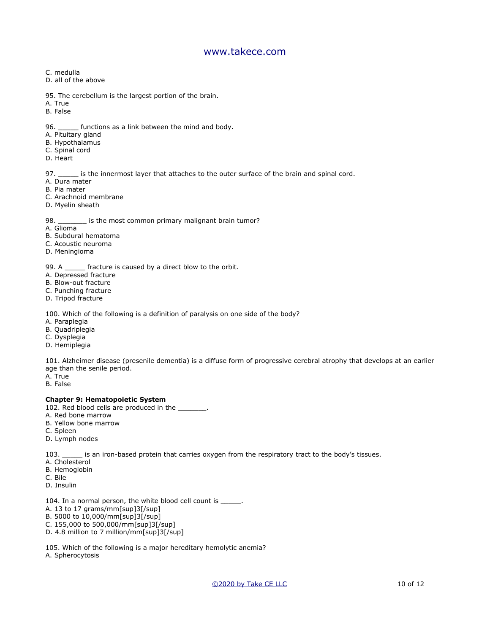- C. medulla
- D. all of the above
- 95. The cerebellum is the largest portion of the brain.
- A. True
- B. False
- 96. \_\_\_\_\_\_ functions as a link between the mind and body.
- A. Pituitary gland
- B. Hypothalamus
- C. Spinal cord
- D. Heart

97. \_\_\_\_\_\_ is the innermost layer that attaches to the outer surface of the brain and spinal cord.

- A. Dura mater
- B. Pia mater
- C. Arachnoid membrane
- D. Myelin sheath

98. \_\_\_\_\_\_\_\_ is the most common primary malignant brain tumor?

- A. Glioma
- B. Subdural hematoma
- C. Acoustic neuroma
- D. Meningioma

99. A \_\_\_\_\_\_ fracture is caused by a direct blow to the orbit.

- A. Depressed fracture
- B. Blow-out fracture
- C. Punching fracture
- D. Tripod fracture

100. Which of the following is a definition of paralysis on one side of the body?

- A. Paraplegia
- B. Quadriplegia
- C. Dysplegia
- D. Hemiplegia

101. Alzheimer disease (presenile dementia) is a diffuse form of progressive cerebral atrophy that develops at an earlier age than the senile period.

- A. True
- B. False

### **Chapter 9: Hematopoietic System**

- 102. Red blood cells are produced in the \_\_\_\_\_\_\_.
- A. Red bone marrow
- B. Yellow bone marrow
- C. Spleen
- D. Lymph nodes

103. \_\_\_\_\_ is an iron-based protein that carries oxygen from the respiratory tract to the body's tissues.

- A. Cholesterol
- B. Hemoglobin
- C. Bile
- D. Insulin
- 104. In a normal person, the white blood cell count is \_\_\_\_\_.
- A. 13 to 17 grams/mm[sup]3[/sup]
- B. 5000 to 10,000/mm[sup]3[/sup]
- C. 155,000 to 500,000/mm[sup]3[/sup]
- D. 4.8 million to 7 million/mm[sup]3[/sup]
- 105. Which of the following is a major hereditary hemolytic anemia?
- A. Spherocytosis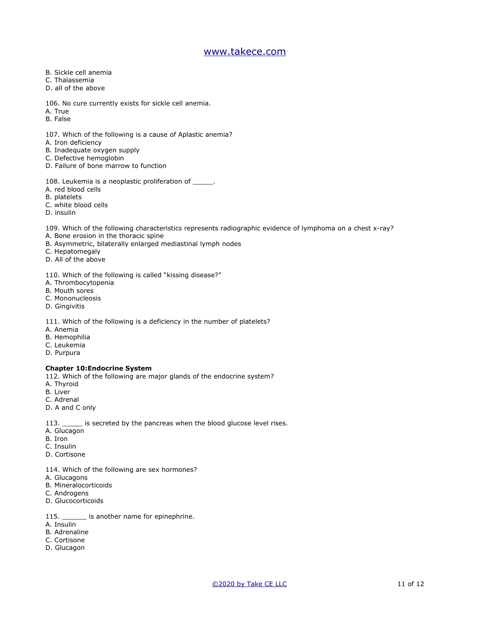- B. Sickle cell anemia
- C. Thalassemia
- D. all of the above
- 106. No cure currently exists for sickle cell anemia.
- A. True
- B. False
- 107. Which of the following is a cause of Aplastic anemia?
- A. Iron deficiency
- B. Inadequate oxygen supply
- C. Defective hemoglobin
- D. Failure of bone marrow to function
- 108. Leukemia is a neoplastic proliferation of \_\_\_\_\_\_.
- A. red blood cells
- B. platelets
- C. white blood cells
- D. insulin

109. Which of the following characteristics represents radiographic evidence of lymphoma on a chest x-ray?

- A. Bone erosion in the thoracic spine
- B. Asymmetric, bilaterally enlarged mediastinal lymph nodes
- C. Hepatomegaly
- D. All of the above
- 110. Which of the following is called "kissing disease?"
- A. Thrombocytopenia
- B. Mouth sores
- C. Mononucleosis
- D. Gingivitis

111. Which of the following is a deficiency in the number of platelets?

- A. Anemia
- B. Hemophilia
- C. Leukemia
- D. Purpura

#### **Chapter 10:Endocrine System**

- 112. Which of the following are major glands of the endocrine system?
- A. Thyroid
- B. Liver
- C. Adrenal
- D. A and C only
- 113. \_\_\_\_\_ is secreted by the pancreas when the blood glucose level rises.
- A. Glucagon
- B. Iron
- C. Insulin
- D. Cortisone
- 114. Which of the following are sex hormones?
- A. Glucagons
- B. Mineralocorticoids
- C. Androgens
- D. Glucocorticoids
- 115. \_\_\_\_\_\_\_\_ is another name for epinephrine.
- A. Insulin
- B. Adrenaline
- C. Cortisone
- D. Glucagon